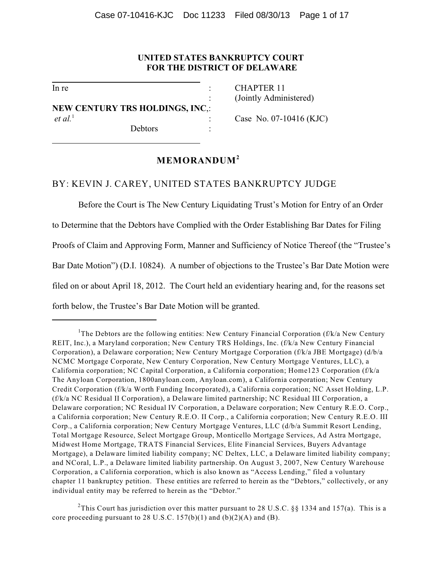# **UNITED STATES BANKRUPTCY COURT FOR THE DISTRICT OF DELAWARE**

l

l

**NEW CENTURY TRS HOLDINGS, INC**,: *et al.*<sup>1</sup> : Case No. 07-10416 (KJC)

Debtors

In re : CHAPTER 11 : (Jointly Administered)

# **MEMORANDUM<sup>2</sup>**

## BY: KEVIN J. CAREY, UNITED STATES BANKRUPTCY JUDGE

Before the Court is The New Century Liquidating Trust's Motion for Entry of an Order to Determine that the Debtors have Complied with the Order Establishing Bar Dates for Filing Proofs of Claim and Approving Form, Manner and Sufficiency of Notice Thereof (the "Trustee's Bar Date Motion") (D.I. 10824). A number of objections to the Trustee's Bar Date Motion were filed on or about April 18, 2012. The Court held an evidentiary hearing and, for the reasons set forth below, the Trustee's Bar Date Motion will be granted.

<sup>2</sup>This Court has jurisdiction over this matter pursuant to 28 U.S.C. §§ 1334 and 157(a). This is a core proceeding pursuant to 28 U.S.C.  $157(b)(1)$  and  $(b)(2)(A)$  and  $(B)$ .

<sup>&</sup>lt;sup>1</sup>The Debtors are the following entities: New Century Financial Corporation (f/k/a New Century REIT, Inc.), a Maryland corporation; New Century TRS Holdings, Inc. (f/k/a New Century Financial Corporation), a Delaware corporation; New Century Mortgage Corporation (f/k/a JBE Mortgage) (d/b/a NCMC Mortgage Corporate, New Century Corporation, New Century Mortgage Ventures, LLC), a California corporation; NC Capital Corporation, a California corporation; Home123 Corporation (f/k/a The Anyloan Corporation, 1800anyloan.com, Anyloan.com), a California corporation; New Century Credit Corporation (f/k/a Worth Funding Incorporated), a California corporation; NC Asset Holding, L.P. (f/k/a NC Residual II Corporation), a Delaware limited partnership; NC Residual III Corporation, a Delaware corporation; NC Residual IV Corporation, a Delaware corporation; New Century R.E.O. Corp., a California corporation; New Century R.E.O. II Corp., a California corporation; New Century R.E.O. III Corp., a California corporation; New Century Mortgage Ventures, LLC (d/b/a Summit Resort Lending, Total Mortgage Resource, Select Mortgage Group, Monticello Mortgage Services, Ad Astra Mortgage, Midwest Home Mortgage, TRATS Financial Services, Elite Financial Services, Buyers Advantage Mortgage), a Delaware limited liability company; NC Deltex, LLC, a Delaware limited liability company; and NCoral, L.P., a Delaware limited liability partnership. On August 3, 2007, New Century Warehouse Corporation, a California corporation, which is also known as "Access Lending," filed a voluntary chapter 11 bankruptcy petition. These entities are referred to herein as the "Debtors," collectively, or any individual entity may be referred to herein as the "Debtor."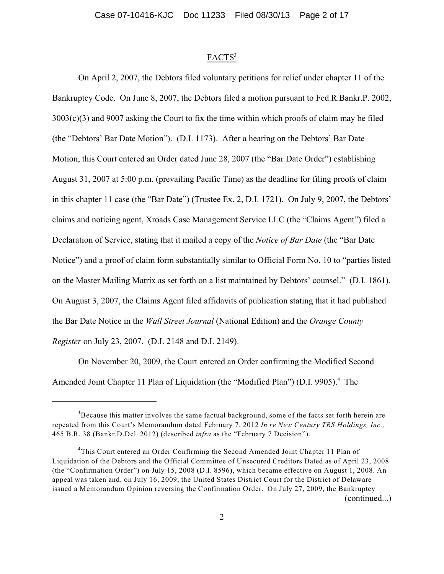### FACTS<sup>3</sup>

On April 2, 2007, the Debtors filed voluntary petitions for relief under chapter 11 of the Bankruptcy Code. On June 8, 2007, the Debtors filed a motion pursuant to Fed.R.Bankr.P. 2002, 3003(c)(3) and 9007 asking the Court to fix the time within which proofs of claim may be filed (the "Debtors' Bar Date Motion"). (D.I. 1173). After a hearing on the Debtors' Bar Date Motion, this Court entered an Order dated June 28, 2007 (the "Bar Date Order") establishing August 31, 2007 at 5:00 p.m. (prevailing Pacific Time) as the deadline for filing proofs of claim in this chapter 11 case (the "Bar Date") (Trustee Ex. 2, D.I. 1721). On July 9, 2007, the Debtors' claims and noticing agent, Xroads Case Management Service LLC (the "Claims Agent") filed a Declaration of Service, stating that it mailed a copy of the *Notice of Bar Date* (the "Bar Date Notice") and a proof of claim form substantially similar to Official Form No. 10 to "parties listed on the Master Mailing Matrix as set forth on a list maintained by Debtors' counsel." (D.I. 1861). On August 3, 2007, the Claims Agent filed affidavits of publication stating that it had published the Bar Date Notice in the *Wall Street Journal* (National Edition) and the *Orange County Register* on July 23, 2007. (D.I. 2148 and D.I. 2149).

On November 20, 2009, the Court entered an Order confirming the Modified Second Amended Joint Chapter 11 Plan of Liquidation (the "Modified Plan") (D.I. 9905).<sup>4</sup> The

 $3$ Because this matter involves the same factual background, some of the facts set forth herein are repeated from this Court's Memorandum dated February 7, 2012 *In re New Century TRS Holdings, Inc.,* 465 B.R. 38 (Bankr.D.Del. 2012) (described *infra* as the "February 7 Decision").

<sup>&</sup>lt;sup>4</sup>This Court entered an Order Confirming the Second Amended Joint Chapter 11 Plan of Liquidation of the Debtors and the Official Committee of Unsecured Creditors Dated as of April 23, 2008 (the "Confirmation Order") on July 15, 2008 (D.I. 8596), which became effective on August 1, 2008. An appeal was taken and, on July 16, 2009, the United States District Court for the District of Delaware issued a Memorandum Opinion reversing the Confirmation Order. On July 27, 2009, the Bankruptcy (continued...)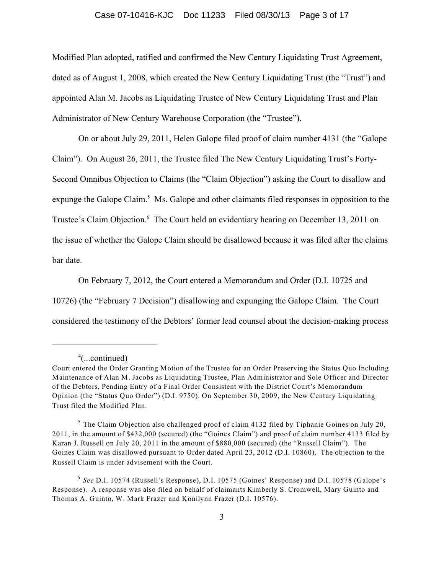### Case 07-10416-KJC Doc 11233 Filed 08/30/13 Page 3 of 17

Modified Plan adopted, ratified and confirmed the New Century Liquidating Trust Agreement, dated as of August 1, 2008, which created the New Century Liquidating Trust (the "Trust") and appointed Alan M. Jacobs as Liquidating Trustee of New Century Liquidating Trust and Plan Administrator of New Century Warehouse Corporation (the "Trustee").

On or about July 29, 2011, Helen Galope filed proof of claim number 4131 (the "Galope Claim"). On August 26, 2011, the Trustee filed The New Century Liquidating Trust's Forty-Second Omnibus Objection to Claims (the "Claim Objection") asking the Court to disallow and expunge the Galope Claim.<sup>5</sup> Ms. Galope and other claimants filed responses in opposition to the Trustee's Claim Objection.<sup>6</sup> The Court held an evidentiary hearing on December 13, 2011 on the issue of whether the Galope Claim should be disallowed because it was filed after the claims bar date.

On February 7, 2012, the Court entered a Memorandum and Order (D.I. 10725 and 10726) (the "February 7 Decision") disallowing and expunging the Galope Claim. The Court considered the testimony of the Debtors' former lead counsel about the decision-making process

 $^4$ (...continued)

Court entered the Order Granting Motion of the Trustee for an Order Preserving the Status Quo Including Maintenance of Alan M. Jacobs as Liquidating Trustee, Plan Administrator and Sole Officer and Director of the Debtors, Pending Entry of a Final Order Consistent with the District Court's Memorandum Opinion (the "Status Quo Order") (D.I. 9750). On September 30, 2009, the New Century Liquidating Trust filed the Modified Plan.

 $5$  The Claim Objection also challenged proof of claim 4132 filed by Tiphanie Goines on July 20, 2011, in the amount of \$432,000 (secured) (the "Goines Claim") and proof of claim number 4133 filed by Karan J. Russell on July 20, 2011 in the amount of \$880,000 (secured) (the "Russell Claim"). The Goines Claim was disallowed pursuant to Order dated April 23, 2012 (D.I. 10860). The objection to the Russell Claim is under advisement with the Court.

<sup>&</sup>lt;sup>6</sup> See D.I. 10574 (Russell's Response), D.I. 10575 (Goines' Response) and D.I. 10578 (Galope's Response). A response was also filed on behalf of claimants Kimberly S. Cromwell, Mary Guinto and Thomas A. Guinto, W. Mark Frazer and Konilynn Frazer (D.I. 10576).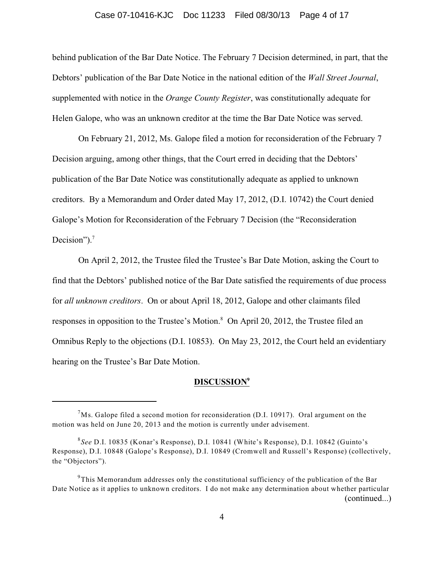### Case 07-10416-KJC Doc 11233 Filed 08/30/13 Page 4 of 17

behind publication of the Bar Date Notice. The February 7 Decision determined, in part, that the Debtors' publication of the Bar Date Notice in the national edition of the *Wall Street Journal*, supplemented with notice in the *Orange County Register*, was constitutionally adequate for Helen Galope, who was an unknown creditor at the time the Bar Date Notice was served.

On February 21, 2012, Ms. Galope filed a motion for reconsideration of the February 7 Decision arguing, among other things, that the Court erred in deciding that the Debtors' publication of the Bar Date Notice was constitutionally adequate as applied to unknown creditors. By a Memorandum and Order dated May 17, 2012, (D.I. 10742) the Court denied Galope's Motion for Reconsideration of the February 7 Decision (the "Reconsideration Decision").<sup>7</sup>

On April 2, 2012, the Trustee filed the Trustee's Bar Date Motion, asking the Court to find that the Debtors' published notice of the Bar Date satisfied the requirements of due process for *all unknown creditors*. On or about April 18, 2012, Galope and other claimants filed responses in opposition to the Trustee's Motion.<sup>8</sup> On April 20, 2012, the Trustee filed an Omnibus Reply to the objections (D.I. 10853). On May 23, 2012, the Court held an evidentiary hearing on the Trustee's Bar Date Motion.

### **DISCUSSION<sup>9</sup>**

 $^{7}$ Ms. Galope filed a second motion for reconsideration (D.I. 10917). Oral argument on the motion was held on June 20, 2013 and the motion is currently under advisement.

<sup>&</sup>lt;sup>8</sup>See D.I. 10835 (Konar's Response), D.I. 10841 (White's Response), D.I. 10842 (Guinto's Response), D.I. 10848 (Galope's Response), D.I. 10849 (Cromwell and Russell's Response) (collectively, the "Objectors").

 $9^9$ This Memorandum addresses only the constitutional sufficiency of the publication of the Bar Date Notice as it applies to unknown creditors. I do not make any determination about whether particular (continued...)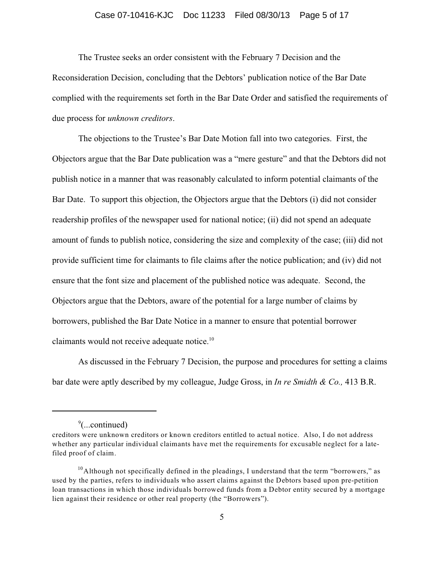### Case 07-10416-KJC Doc 11233 Filed 08/30/13 Page 5 of 17

The Trustee seeks an order consistent with the February 7 Decision and the Reconsideration Decision, concluding that the Debtors' publication notice of the Bar Date complied with the requirements set forth in the Bar Date Order and satisfied the requirements of due process for *unknown creditors*.

The objections to the Trustee's Bar Date Motion fall into two categories. First, the Objectors argue that the Bar Date publication was a "mere gesture" and that the Debtors did not publish notice in a manner that was reasonably calculated to inform potential claimants of the Bar Date. To support this objection, the Objectors argue that the Debtors (i) did not consider readership profiles of the newspaper used for national notice; (ii) did not spend an adequate amount of funds to publish notice, considering the size and complexity of the case; (iii) did not provide sufficient time for claimants to file claims after the notice publication; and (iv) did not ensure that the font size and placement of the published notice was adequate. Second, the Objectors argue that the Debtors, aware of the potential for a large number of claims by borrowers, published the Bar Date Notice in a manner to ensure that potential borrower claimants would not receive adequate notice.<sup>10</sup>

As discussed in the February 7 Decision, the purpose and procedures for setting a claims bar date were aptly described by my colleague, Judge Gross, in *In re Smidth & Co.,* 413 B.R.

 $\degree$ (...continued)

creditors were unknown creditors or known creditors entitled to actual notice. Also, I do not address whether any particular individual claimants have met the requirements for excusable neglect for a latefiled proof of claim.

<sup>&</sup>lt;sup>10</sup> Although not specifically defined in the pleadings, I understand that the term "borrowers," as used by the parties, refers to individuals who assert claims against the Debtors based upon pre-petition loan transactions in which those individuals borrowed funds from a Debtor entity secured by a mortgage lien against their residence or other real property (the "Borrowers").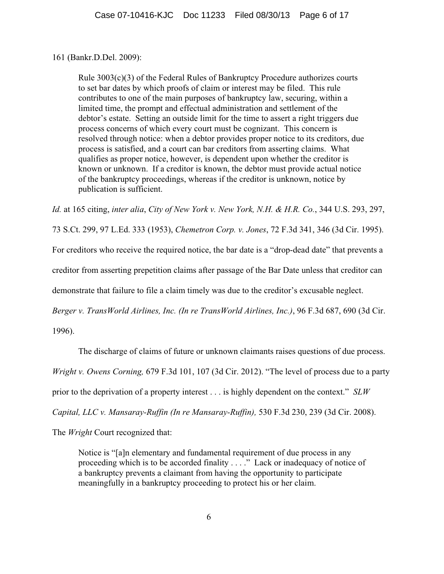## 161 (Bankr.D.Del. 2009):

Rule 3003(c)(3) of the Federal Rules of Bankruptcy Procedure authorizes courts to set bar dates by which proofs of claim or interest may be filed. This rule contributes to one of the main purposes of bankruptcy law, securing, within a limited time, the prompt and effectual administration and settlement of the debtor's estate. Setting an outside limit for the time to assert a right triggers due process concerns of which every court must be cognizant. This concern is resolved through notice: when a debtor provides proper notice to its creditors, due process is satisfied, and a court can bar creditors from asserting claims. What qualifies as proper notice, however, is dependent upon whether the creditor is known or unknown. If a creditor is known, the debtor must provide actual notice of the bankruptcy proceedings, whereas if the creditor is unknown, notice by publication is sufficient.

*Id.* at 165 citing, *inter alia*, *City of New York v. New York, N.H. & H.R. Co.*, 344 U.S. 293, 297,

73 S.Ct. 299, 97 L.Ed. 333 (1953), *Chemetron Corp. v. Jones*, 72 F.3d 341, 346 (3d Cir. 1995).

For creditors who receive the required notice, the bar date is a "drop-dead date" that prevents a

creditor from asserting prepetition claims after passage of the Bar Date unless that creditor can

demonstrate that failure to file a claim timely was due to the creditor's excusable neglect.

*Berger v. TransWorld Airlines, Inc. (In re TransWorld Airlines, Inc.)*, 96 F.3d 687, 690 (3d Cir.

1996).

The discharge of claims of future or unknown claimants raises questions of due process.

*Wright v. Owens Corning,* 679 F.3d 101, 107 (3d Cir. 2012). "The level of process due to a party

prior to the deprivation of a property interest . . . is highly dependent on the context." *SLW*

*Capital, LLC v. Mansaray-Ruffin (In re Mansaray-Ruffin),* 530 F.3d 230, 239 (3d Cir. 2008).

The *Wright* Court recognized that:

Notice is "[a]n elementary and fundamental requirement of due process in any proceeding which is to be accorded finality . . . ." Lack or inadequacy of notice of a bankruptcy prevents a claimant from having the opportunity to participate meaningfully in a bankruptcy proceeding to protect his or her claim.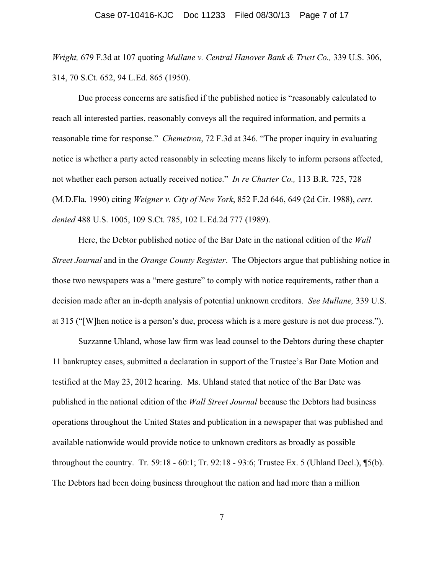#### Case 07-10416-KJC Doc 11233 Filed 08/30/13 Page 7 of 17

*Wright,* 679 F.3d at 107 quoting *Mullane v. Central Hanover Bank & Trust Co.,* 339 U.S. 306, 314, 70 S.Ct. 652, 94 L.Ed. 865 (1950).

Due process concerns are satisfied if the published notice is "reasonably calculated to reach all interested parties, reasonably conveys all the required information, and permits a reasonable time for response." *Chemetron*, 72 F.3d at 346. "The proper inquiry in evaluating notice is whether a party acted reasonably in selecting means likely to inform persons affected, not whether each person actually received notice." *In re Charter Co.,* 113 B.R. 725, 728 (M.D.Fla. 1990) citing *Weigner v. City of New York*, 852 F.2d 646, 649 (2d Cir. 1988), *cert. denied* 488 U.S. 1005, 109 S.Ct. 785, 102 L.Ed.2d 777 (1989).

Here, the Debtor published notice of the Bar Date in the national edition of the *Wall Street Journal* and in the *Orange County Register*. The Objectors argue that publishing notice in those two newspapers was a "mere gesture" to comply with notice requirements, rather than a decision made after an in-depth analysis of potential unknown creditors. *See Mullane,* 339 U.S. at 315 ("[W]hen notice is a person's due, process which is a mere gesture is not due process.").

Suzzanne Uhland, whose law firm was lead counsel to the Debtors during these chapter 11 bankruptcy cases, submitted a declaration in support of the Trustee's Bar Date Motion and testified at the May 23, 2012 hearing. Ms. Uhland stated that notice of the Bar Date was published in the national edition of the *Wall Street Journal* because the Debtors had business operations throughout the United States and publication in a newspaper that was published and available nationwide would provide notice to unknown creditors as broadly as possible throughout the country. Tr. 59:18 - 60:1; Tr. 92:18 - 93:6; Trustee Ex. 5 (Uhland Decl.), ¶5(b). The Debtors had been doing business throughout the nation and had more than a million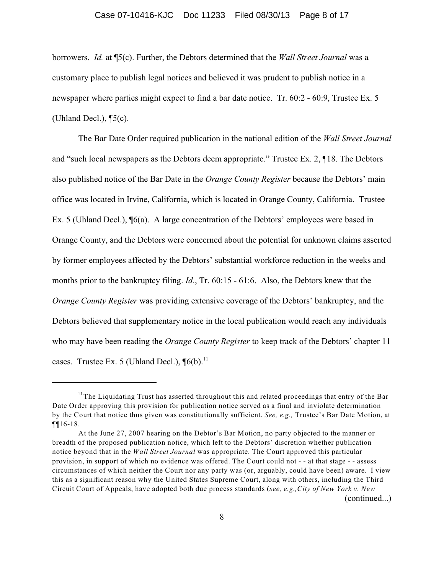#### Case 07-10416-KJC Doc 11233 Filed 08/30/13 Page 8 of 17

borrowers. *Id.* at ¶5(c). Further, the Debtors determined that the *Wall Street Journal* was a customary place to publish legal notices and believed it was prudent to publish notice in a newspaper where parties might expect to find a bar date notice. Tr. 60:2 - 60:9, Trustee Ex. 5 (Uhland Decl.), ¶5(c).

The Bar Date Order required publication in the national edition of the *Wall Street Journal* and "such local newspapers as the Debtors deem appropriate." Trustee Ex. 2, ¶18. The Debtors also published notice of the Bar Date in the *Orange County Register* because the Debtors' main office was located in Irvine, California, which is located in Orange County, California. Trustee Ex. 5 (Uhland Decl.), ¶6(a). A large concentration of the Debtors' employees were based in Orange County, and the Debtors were concerned about the potential for unknown claims asserted by former employees affected by the Debtors' substantial workforce reduction in the weeks and months prior to the bankruptcy filing. *Id.*, Tr. 60:15 - 61:6. Also, the Debtors knew that the *Orange County Register* was providing extensive coverage of the Debtors' bankruptcy, and the Debtors believed that supplementary notice in the local publication would reach any individuals who may have been reading the *Orange County Register* to keep track of the Debtors' chapter 11 cases. Trustee Ex. 5 (Uhland Decl.),  $\P6(b)$ .<sup>11</sup>

(continued...)

 $11$ The Liquidating Trust has asserted throughout this and related proceedings that entry of the Bar Date Order approving this provision for publication notice served as a final and inviolate determination by the Court that notice thus given was constitutionally sufficient. *See, e.g.,* Trustee's Bar Date Motion, at ¶¶16-18.

At the June 27, 2007 hearing on the Debtor's Bar Motion, no party objected to the manner or breadth of the proposed publication notice, which left to the Debtors' discretion whether publication notice beyond that in the *Wall Street Journal* was appropriate. The Court approved this particular provision, in support of which no evidence was offered. The Court could not - - at that stage - - assess circumstances of which neither the Court nor any party was (or, arguably, could have been) aware. I view this as a significant reason why the United States Supreme Court, along with others, including the Third Circuit Court of Appeals, have adopted both due process standards (*see, e.g.,City of New York v. New*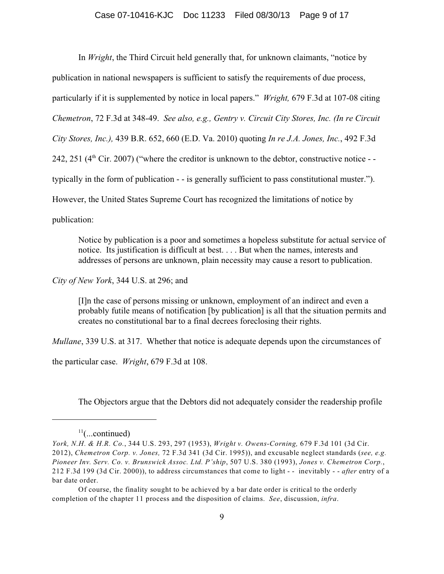In *Wright*, the Third Circuit held generally that, for unknown claimants, "notice by publication in national newspapers is sufficient to satisfy the requirements of due process, particularly if it is supplemented by notice in local papers." *Wright,* 679 F.3d at 107-08 citing *Chemetron*, 72 F.3d at 348-49. *See also, e.g., Gentry v. Circuit City Stores, Inc. (In re Circuit City Stores, Inc.),* 439 B.R. 652, 660 (E.D. Va. 2010) quoting *In re J.A. Jones, Inc.*, 492 F.3d 242, 251 ( $4<sup>th</sup>$  Cir. 2007) ("where the creditor is unknown to the debtor, constructive notice - typically in the form of publication - - is generally sufficient to pass constitutional muster."). However, the United States Supreme Court has recognized the limitations of notice by publication:

Notice by publication is a poor and sometimes a hopeless substitute for actual service of notice. Its justification is difficult at best. . . . But when the names, interests and addresses of persons are unknown, plain necessity may cause a resort to publication.

*City of New York*, 344 U.S. at 296; and

[I]n the case of persons missing or unknown, employment of an indirect and even a probably futile means of notification [by publication] is all that the situation permits and creates no constitutional bar to a final decrees foreclosing their rights.

*Mullane*, 339 U.S. at 317. Whether that notice is adequate depends upon the circumstances of

the particular case. *Wright*, 679 F.3d at 108.

The Objectors argue that the Debtors did not adequately consider the readership profile

 $11$ (...continued)

*York, N.H. & H.R. Co.*, 344 U.S. 293, 297 (1953), *Wright v. Owens-Corning,* 679 F.3d 101 (3d Cir. 2012), *Chemetron Corp. v. Jones,* 72 F.3d 341 (3d Cir. 1995)), and excusable neglect standards (*see, e.g. Pioneer Inv. Serv. Co. v. Brunswick Assoc. Ltd. P'ship*, 507 U.S. 380 (1993), *Jones v. Chemetron Corp.*, 212 F.3d 199 (3d Cir. 2000)), to address circumstances that come to light - - inevitably - - *after* entry of a bar date order.

Of course, the finality sought to be achieved by a bar date order is critical to the orderly completion of the chapter 11 process and the disposition of claims. *See*, discussion, *infra*.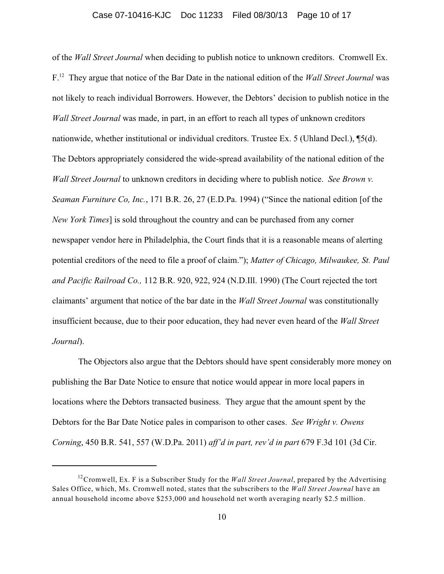### Case 07-10416-KJC Doc 11233 Filed 08/30/13 Page 10 of 17

of the *Wall Street Journal* when deciding to publish notice to unknown creditors. Cromwell Ex. F<sup>12</sup> They argue that notice of the Bar Date in the national edition of the *Wall Street Journal* was not likely to reach individual Borrowers. However, the Debtors' decision to publish notice in the *Wall Street Journal* was made, in part, in an effort to reach all types of unknown creditors nationwide, whether institutional or individual creditors. Trustee Ex. 5 (Uhland Decl.), ¶5(d). The Debtors appropriately considered the wide-spread availability of the national edition of the *Wall Street Journal* to unknown creditors in deciding where to publish notice. *See Brown v. Seaman Furniture Co, Inc.*, 171 B.R. 26, 27 (E.D.Pa. 1994) ("Since the national edition [of the *New York Times*] is sold throughout the country and can be purchased from any corner newspaper vendor here in Philadelphia, the Court finds that it is a reasonable means of alerting potential creditors of the need to file a proof of claim."); *Matter of Chicago, Milwaukee, St. Paul and Pacific Railroad Co.,* 112 B.R. 920, 922, 924 (N.D.Ill. 1990) (The Court rejected the tort claimants' argument that notice of the bar date in the *Wall Street Journal* was constitutionally insufficient because, due to their poor education, they had never even heard of the *Wall Street Journal*).

The Objectors also argue that the Debtors should have spent considerably more money on publishing the Bar Date Notice to ensure that notice would appear in more local papers in locations where the Debtors transacted business. They argue that the amount spent by the Debtors for the Bar Date Notice pales in comparison to other cases. *See Wright v. Owens Corning*, 450 B.R. 541, 557 (W.D.Pa. 2011) *aff'd in part, rev'd in part* 679 F.3d 101 (3d Cir.

<sup>&</sup>lt;sup>12</sup> Cromwell, Ex. F is a Subscriber Study for the *Wall Street Journal*, prepared by the Advertising Sales Office, which, Ms. Cromwell noted, states that the subscribers to the *Wall Street Journal* have an annual household income above \$253,000 and household net worth averaging nearly \$2.5 million.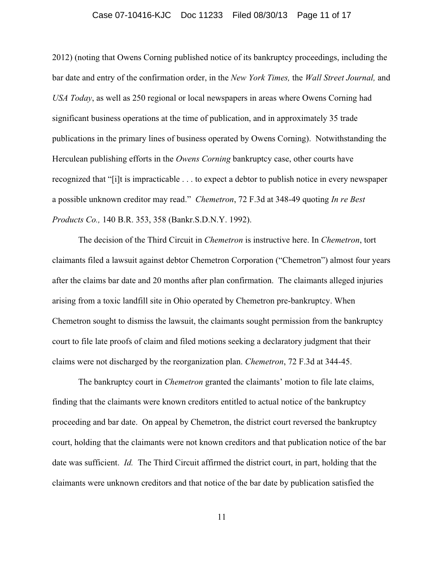### Case 07-10416-KJC Doc 11233 Filed 08/30/13 Page 11 of 17

2012) (noting that Owens Corning published notice of its bankruptcy proceedings, including the bar date and entry of the confirmation order, in the *New York Times,* the *Wall Street Journal,* and *USA Today*, as well as 250 regional or local newspapers in areas where Owens Corning had significant business operations at the time of publication, and in approximately 35 trade publications in the primary lines of business operated by Owens Corning). Notwithstanding the Herculean publishing efforts in the *Owens Corning* bankruptcy case, other courts have recognized that "[i]t is impracticable . . . to expect a debtor to publish notice in every newspaper a possible unknown creditor may read." *Chemetron*, 72 F.3d at 348-49 quoting *In re Best Products Co.,* 140 B.R. 353, 358 (Bankr.S.D.N.Y. 1992).

The decision of the Third Circuit in *Chemetron* is instructive here. In *Chemetron*, tort claimants filed a lawsuit against debtor Chemetron Corporation ("Chemetron") almost four years after the claims bar date and 20 months after plan confirmation. The claimants alleged injuries arising from a toxic landfill site in Ohio operated by Chemetron pre-bankruptcy. When Chemetron sought to dismiss the lawsuit, the claimants sought permission from the bankruptcy court to file late proofs of claim and filed motions seeking a declaratory judgment that their claims were not discharged by the reorganization plan. *Chemetron*, 72 F.3d at 344-45.

The bankruptcy court in *Chemetron* granted the claimants' motion to file late claims, finding that the claimants were known creditors entitled to actual notice of the bankruptcy proceeding and bar date. On appeal by Chemetron, the district court reversed the bankruptcy court, holding that the claimants were not known creditors and that publication notice of the bar date was sufficient. *Id.* The Third Circuit affirmed the district court, in part, holding that the claimants were unknown creditors and that notice of the bar date by publication satisfied the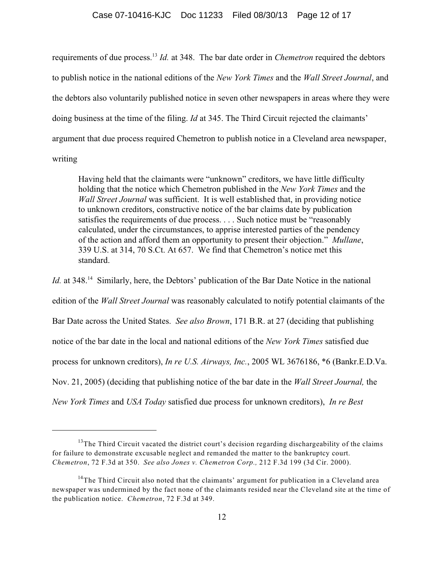requirements of due process.<sup>13</sup> Id. at 348. The bar date order in *Chemetron* required the debtors to publish notice in the national editions of the *New York Times* and the *Wall Street Journal*, and the debtors also voluntarily published notice in seven other newspapers in areas where they were doing business at the time of the filing. *Id* at 345. The Third Circuit rejected the claimants' argument that due process required Chemetron to publish notice in a Cleveland area newspaper, writing

Having held that the claimants were "unknown" creditors, we have little difficulty holding that the notice which Chemetron published in the *New York Times* and the *Wall Street Journal* was sufficient. It is well established that, in providing notice to unknown creditors, constructive notice of the bar claims date by publication satisfies the requirements of due process. . . . Such notice must be "reasonably calculated, under the circumstances, to apprise interested parties of the pendency of the action and afford them an opportunity to present their objection." *Mullane*, 339 U.S. at 314, 70 S.Ct. At 657. We find that Chemetron's notice met this standard.

*Id.* at 348.<sup>14</sup> Similarly, here, the Debtors' publication of the Bar Date Notice in the national edition of the *Wall Street Journal* was reasonably calculated to notify potential claimants of the Bar Date across the United States. *See also Brown*, 171 B.R. at 27 (deciding that publishing notice of the bar date in the local and national editions of the *New York Times* satisfied due process for unknown creditors), *In re U.S. Airways, Inc.*, 2005 WL 3676186, \*6 (Bankr.E.D.Va. Nov. 21, 2005) (deciding that publishing notice of the bar date in the *Wall Street Journal,* the *New York Times* and *USA Today* satisfied due process for unknown creditors), *In re Best*

 $13$ The Third Circuit vacated the district court's decision regarding dischargeability of the claims for failure to demonstrate excusable neglect and remanded the matter to the bankruptcy court. *Chemetron*, 72 F.3d at 350. *See also Jones v. Chemetron Corp.,* 212 F.3d 199 (3d Cir. 2000).

<sup>&</sup>lt;sup>14</sup>The Third Circuit also noted that the claimants' argument for publication in a Cleveland area newspaper was undermined by the fact none of the claimants resided near the Cleveland site at the time of the publication notice. *Chemetron*, 72 F.3d at 349.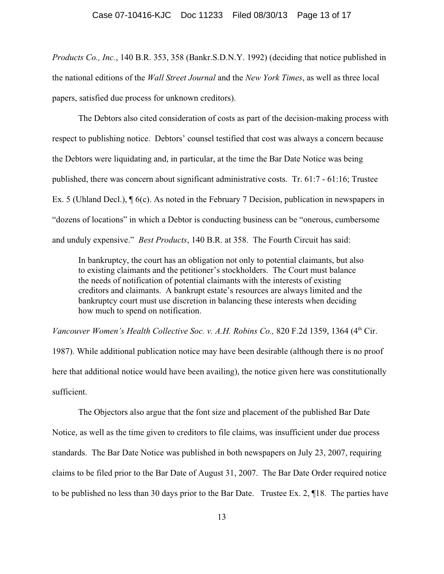*Products Co., Inc.*, 140 B.R. 353, 358 (Bankr.S.D.N.Y. 1992) (deciding that notice published in the national editions of the *Wall Street Journal* and the *New York Times*, as well as three local papers, satisfied due process for unknown creditors).

The Debtors also cited consideration of costs as part of the decision-making process with respect to publishing notice. Debtors' counsel testified that cost was always a concern because the Debtors were liquidating and, in particular, at the time the Bar Date Notice was being published, there was concern about significant administrative costs. Tr. 61:7 - 61:16; Trustee Ex. 5 (Uhland Decl.), ¶ 6(c). As noted in the February 7 Decision, publication in newspapers in "dozens of locations" in which a Debtor is conducting business can be "onerous, cumbersome and unduly expensive." *Best Products*, 140 B.R. at 358. The Fourth Circuit has said:

In bankruptcy, the court has an obligation not only to potential claimants, but also to existing claimants and the petitioner's stockholders. The Court must balance the needs of notification of potential claimants with the interests of existing creditors and claimants. A bankrupt estate's resources are always limited and the bankruptcy court must use discretion in balancing these interests when deciding how much to spend on notification.

*Vancouver Women's Health Collective Soc. v. A.H. Robins Co., 820 F.2d 1359, 1364 (4th Cir.* 

1987). While additional publication notice may have been desirable (although there is no proof here that additional notice would have been availing), the notice given here was constitutionally sufficient.

The Objectors also argue that the font size and placement of the published Bar Date Notice, as well as the time given to creditors to file claims, was insufficient under due process standards. The Bar Date Notice was published in both newspapers on July 23, 2007, requiring claims to be filed prior to the Bar Date of August 31, 2007. The Bar Date Order required notice to be published no less than 30 days prior to the Bar Date. Trustee Ex. 2, ¶18. The parties have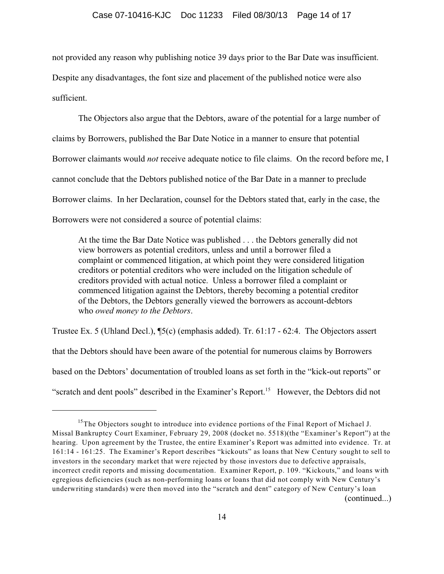not provided any reason why publishing notice 39 days prior to the Bar Date was insufficient. Despite any disadvantages, the font size and placement of the published notice were also sufficient.

The Objectors also argue that the Debtors, aware of the potential for a large number of claims by Borrowers, published the Bar Date Notice in a manner to ensure that potential Borrower claimants would *not* receive adequate notice to file claims. On the record before me, I cannot conclude that the Debtors published notice of the Bar Date in a manner to preclude Borrower claims. In her Declaration, counsel for the Debtors stated that, early in the case, the Borrowers were not considered a source of potential claims:

At the time the Bar Date Notice was published . . . the Debtors generally did not view borrowers as potential creditors, unless and until a borrower filed a complaint or commenced litigation, at which point they were considered litigation creditors or potential creditors who were included on the litigation schedule of creditors provided with actual notice. Unless a borrower filed a complaint or commenced litigation against the Debtors, thereby becoming a potential creditor of the Debtors, the Debtors generally viewed the borrowers as account-debtors who *owed money to the Debtors*.

Trustee Ex. 5 (Uhland Decl.), ¶5(c) (emphasis added). Tr. 61:17 - 62:4. The Objectors assert that the Debtors should have been aware of the potential for numerous claims by Borrowers based on the Debtors' documentation of troubled loans as set forth in the "kick-out reports" or "scratch and dent pools" described in the Examiner's Report.<sup>15</sup> However, the Debtors did not

 $15$ The Objectors sought to introduce into evidence portions of the Final Report of Michael J. Missal Bankruptcy Court Examiner, February 29, 2008 (docket no. 5518)(the "Examiner's Report") at the hearing. Upon agreement by the Trustee, the entire Examiner's Report was admitted into evidence. Tr. at 161:14 - 161:25. The Examiner's Report describes "kickouts" as loans that New Century sought to sell to investors in the secondary market that were rejected by those investors due to defective appraisals, incorrect credit reports and missing documentation. Examiner Report, p. 109. "Kickouts," and loans with egregious deficiencies (such as non-performing loans or loans that did not comply with New Century's underwriting standards) were then moved into the "scratch and dent" category of New Century's loan (continued...)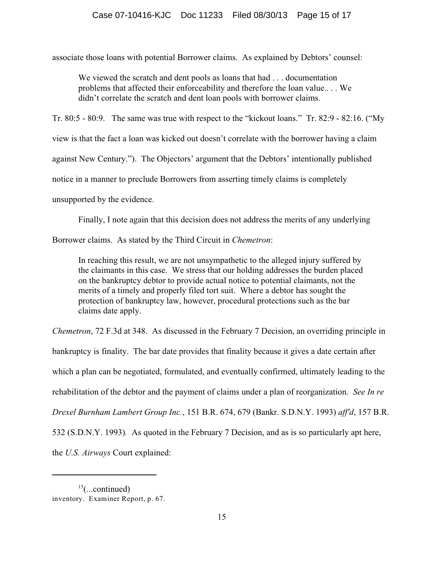associate those loans with potential Borrower claims. As explained by Debtors' counsel:

We viewed the scratch and dent pools as loans that had . . . documentation problems that affected their enforceability and therefore the loan value.. . . We didn't correlate the scratch and dent loan pools with borrower claims.

Tr. 80:5 - 80:9. The same was true with respect to the "kickout loans." Tr. 82:9 - 82:16. ("My

view is that the fact a loan was kicked out doesn't correlate with the borrower having a claim

against New Century."). The Objectors' argument that the Debtors' intentionally published

notice in a manner to preclude Borrowers from asserting timely claims is completely

unsupported by the evidence.

Finally, I note again that this decision does not address the merits of any underlying

Borrower claims. As stated by the Third Circuit in *Chemetron*:

In reaching this result, we are not unsympathetic to the alleged injury suffered by the claimants in this case. We stress that our holding addresses the burden placed on the bankruptcy debtor to provide actual notice to potential claimants, not the merits of a timely and properly filed tort suit. Where a debtor has sought the protection of bankruptcy law, however, procedural protections such as the bar claims date apply.

*Chemetron*, 72 F.3d at 348. As discussed in the February 7 Decision, an overriding principle in

bankruptcy is finality. The bar date provides that finality because it gives a date certain after

which a plan can be negotiated, formulated, and eventually confirmed, ultimately leading to the

rehabilitation of the debtor and the payment of claims under a plan of reorganization. *See In re*

*Drexel Burnham Lambert Group Inc.*, 151 B.R. 674, 679 (Bankr. S.D.N.Y. 1993) *aff'd*, 157 B.R.

532 (S.D.N.Y. 1993)*.* As quoted in the February 7 Decision, and as is so particularly apt here,

the *U.S. Airways* Court explained:

 $15$ (...continued) inventory. Examiner Report, p. 67.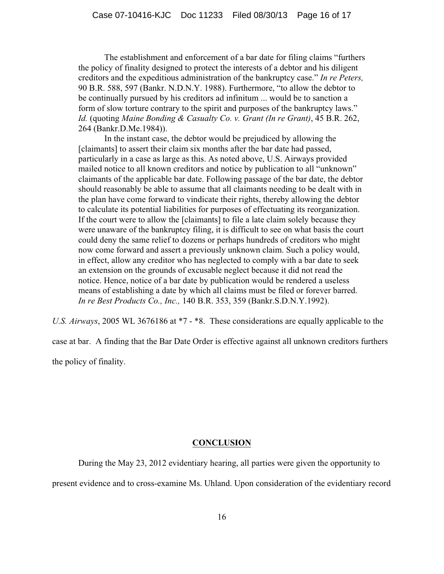The establishment and enforcement of a bar date for filing claims "furthers the policy of finality designed to protect the interests of a debtor and his diligent creditors and the expeditious administration of the bankruptcy case." *In re Peters,* 90 B.R. 588, 597 (Bankr. N.D.N.Y. 1988). Furthermore, "to allow the debtor to be continually pursued by his creditors ad infinitum ... would be to sanction a form of slow torture contrary to the spirit and purposes of the bankruptcy laws." *Id.* (quoting *Maine Bonding & Casualty Co. v. Grant (In re Grant)*, 45 B.R. 262, 264 (Bankr.D.Me.1984)).

In the instant case, the debtor would be prejudiced by allowing the [claimants] to assert their claim six months after the bar date had passed, particularly in a case as large as this. As noted above, U.S. Airways provided mailed notice to all known creditors and notice by publication to all "unknown" claimants of the applicable bar date. Following passage of the bar date, the debtor should reasonably be able to assume that all claimants needing to be dealt with in the plan have come forward to vindicate their rights, thereby allowing the debtor to calculate its potential liabilities for purposes of effectuating its reorganization. If the court were to allow the [claimants] to file a late claim solely because they were unaware of the bankruptcy filing, it is difficult to see on what basis the court could deny the same relief to dozens or perhaps hundreds of creditors who might now come forward and assert a previously unknown claim. Such a policy would, in effect, allow any creditor who has neglected to comply with a bar date to seek an extension on the grounds of excusable neglect because it did not read the notice. Hence, notice of a bar date by publication would be rendered a useless means of establishing a date by which all claims must be filed or forever barred. *In re Best Products Co., Inc.,* 140 B.R. 353, 359 (Bankr.S.D.N.Y.1992).

*U.S. Airways*, 2005 WL 3676186 at \*7 - \*8. These considerations are equally applicable to the

case at bar. A finding that the Bar Date Order is effective against all unknown creditors furthers the policy of finality.

### **CONCLUSION**

During the May 23, 2012 evidentiary hearing, all parties were given the opportunity to

present evidence and to cross-examine Ms. Uhland. Upon consideration of the evidentiary record